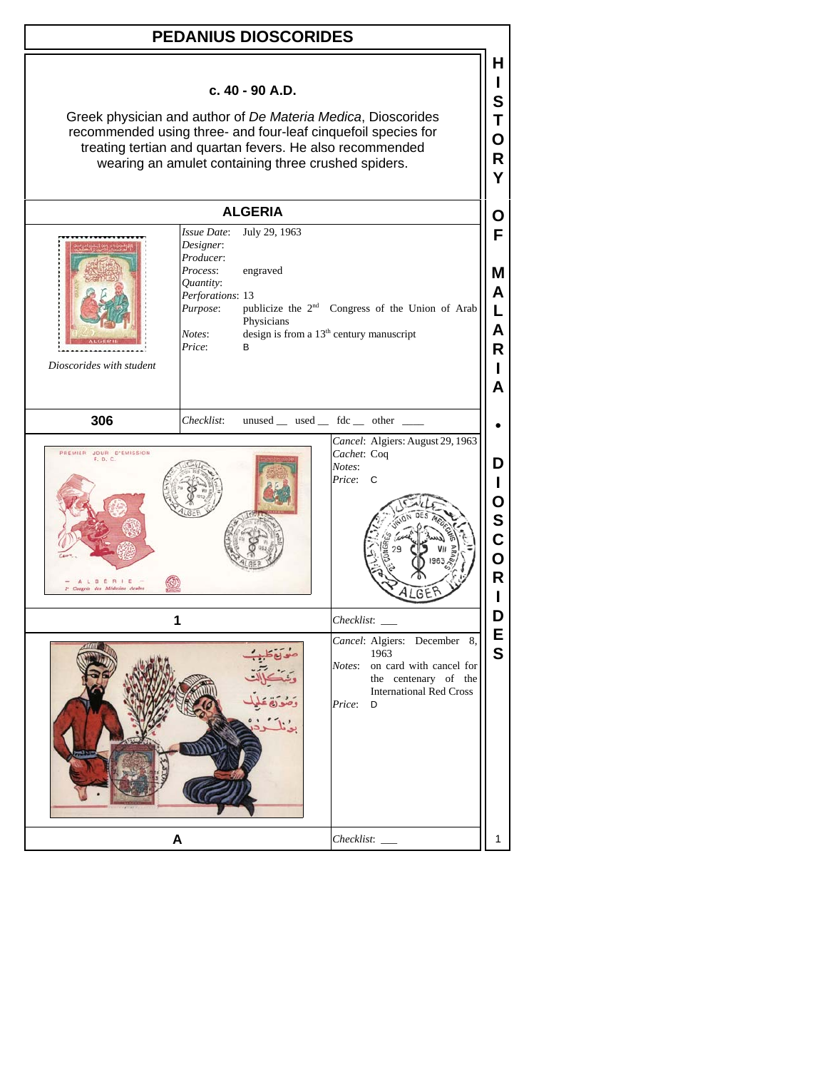| <b>PEDANIUS DIOSCORIDES</b>                                                                                                                                                                                                                                         |                                                                                                                                                                    |                                                                                                                                                       |                                 |  |  |
|---------------------------------------------------------------------------------------------------------------------------------------------------------------------------------------------------------------------------------------------------------------------|--------------------------------------------------------------------------------------------------------------------------------------------------------------------|-------------------------------------------------------------------------------------------------------------------------------------------------------|---------------------------------|--|--|
| c. 40 - 90 A.D.<br>Greek physician and author of De Materia Medica, Dioscorides<br>recommended using three- and four-leaf cinquefoil species for<br>treating tertian and quartan fevers. He also recommended<br>wearing an amulet containing three crushed spiders. |                                                                                                                                                                    |                                                                                                                                                       |                                 |  |  |
|                                                                                                                                                                                                                                                                     | <b>ALGERIA</b>                                                                                                                                                     |                                                                                                                                                       | O                               |  |  |
| Dioscorides with student                                                                                                                                                                                                                                            | July 29, 1963<br>Issue Date:<br>Designer:<br>Producer:<br>Process:<br>engraved<br>Ouantity:<br>Perforations: 13<br>Purpose:<br>Physicians<br>Notes:<br>Price:<br>B | publicize the 2 <sup>nd</sup> Congress of the Union of Arab<br>design is from a 13 <sup>th</sup> century manuscript                                   | F<br>м<br>A<br>L<br>A<br>R<br>А |  |  |
| 306                                                                                                                                                                                                                                                                 | Checklist:                                                                                                                                                         | unused __ used __ fdc __ other __                                                                                                                     |                                 |  |  |
| PREMIER JOUR D'EMISSION<br>F. D. C.<br>LGERIE<br>Congrès des Médecins Arabes                                                                                                                                                                                        |                                                                                                                                                                    | Cancel: Algiers: August 29, 1963<br>Cachet: Coq<br>Notes:<br>Price:<br>C                                                                              | D<br>L<br>O<br>S<br>C<br>Ο<br>R |  |  |
|                                                                                                                                                                                                                                                                     |                                                                                                                                                                    | Checklist:                                                                                                                                            |                                 |  |  |
|                                                                                                                                                                                                                                                                     |                                                                                                                                                                    | Cancel: Algiers: December<br>8.<br>1963<br>on card with cancel for<br>Notes:<br>the centenary of the<br><b>International Red Cross</b><br>Price:<br>D | Е<br>S                          |  |  |
|                                                                                                                                                                                                                                                                     | A                                                                                                                                                                  | Checklist:                                                                                                                                            | 1                               |  |  |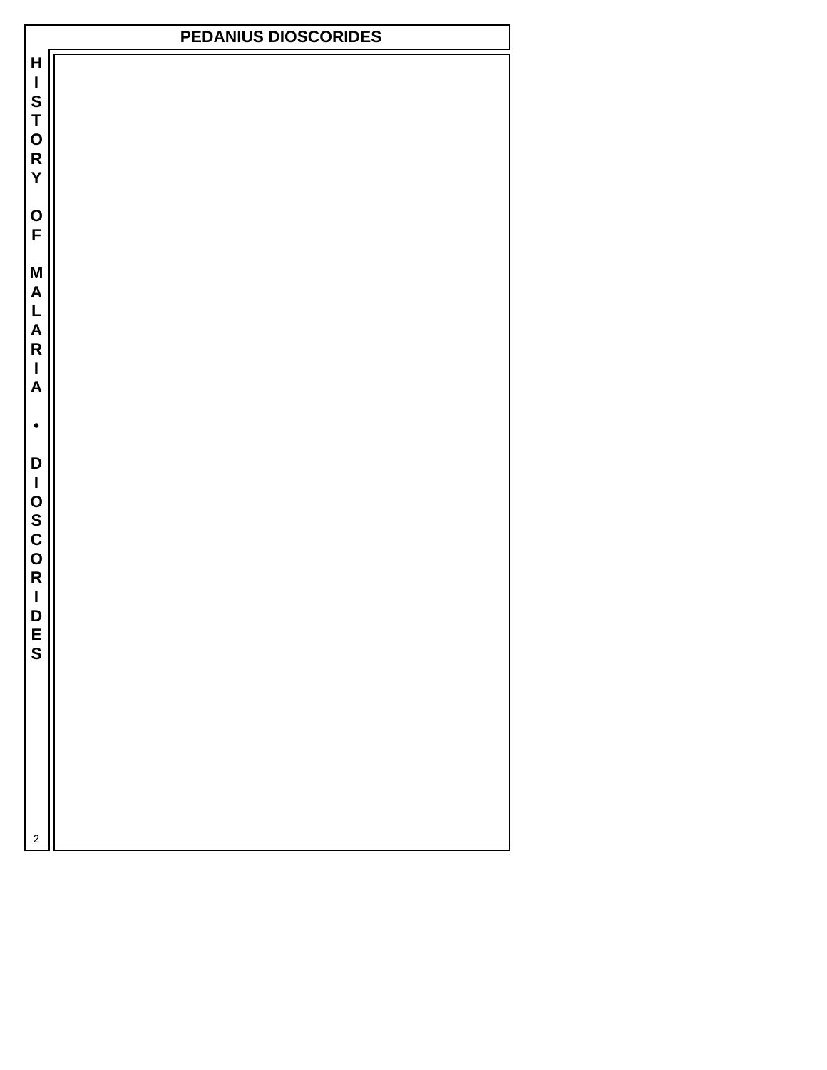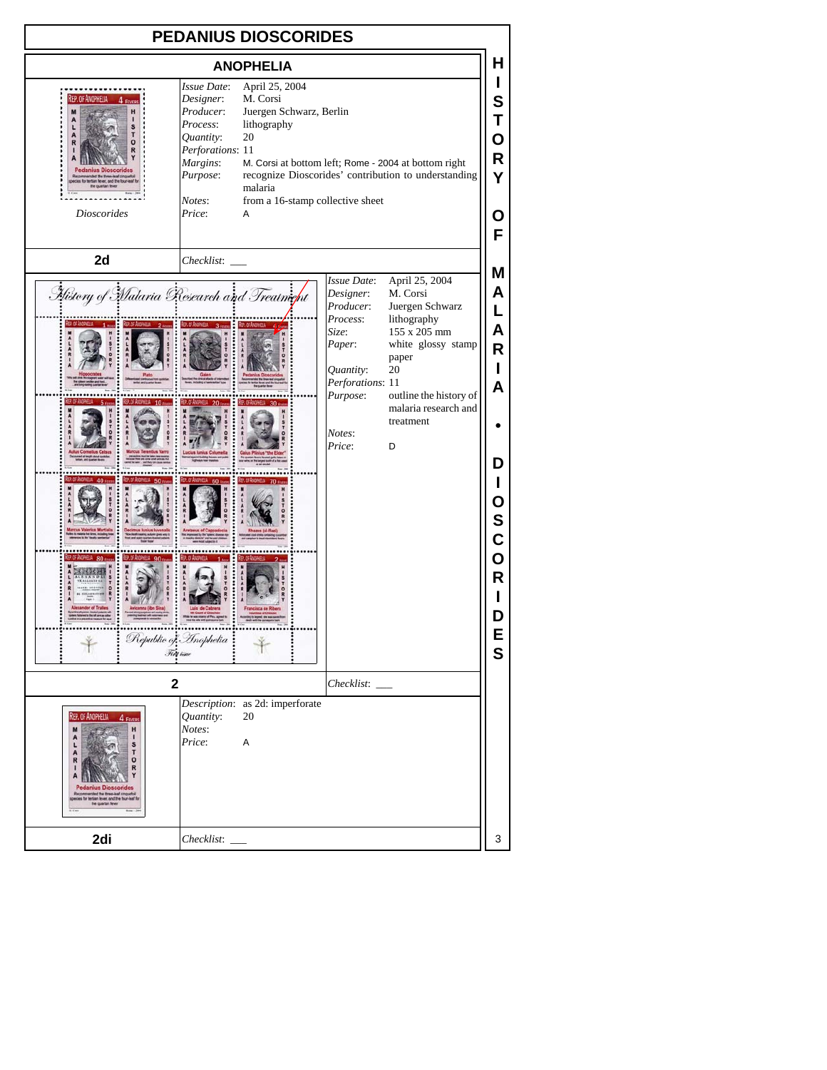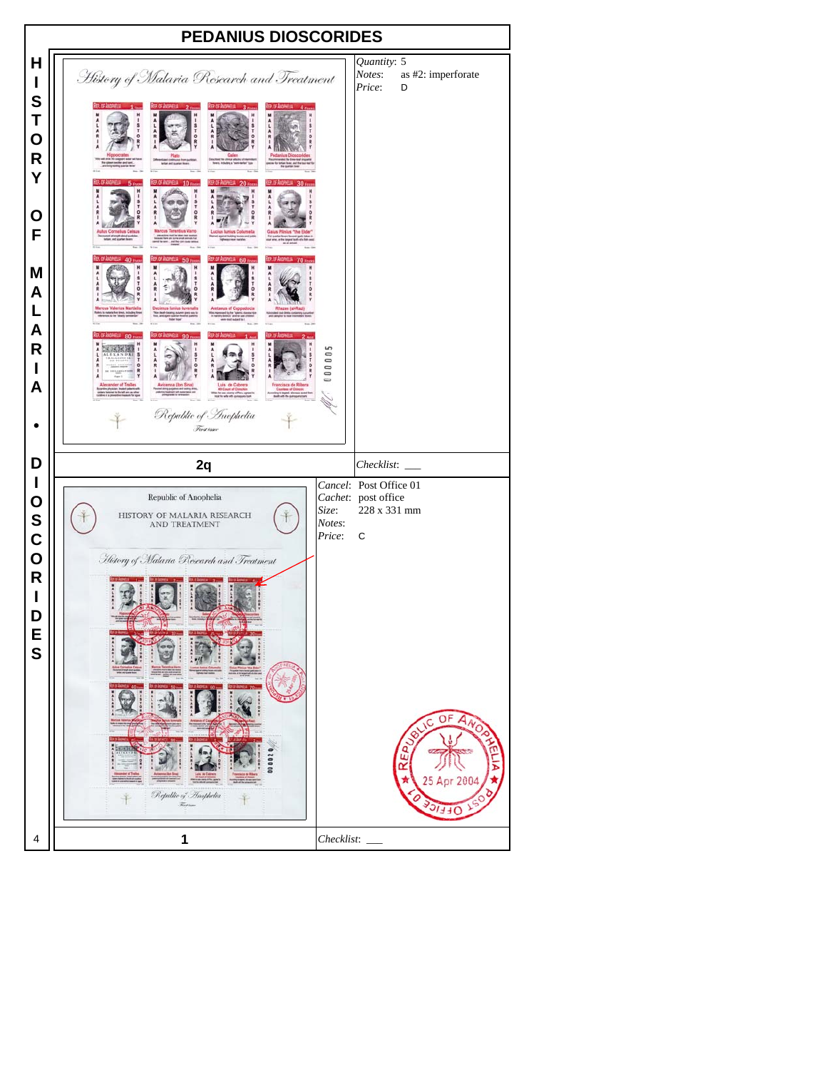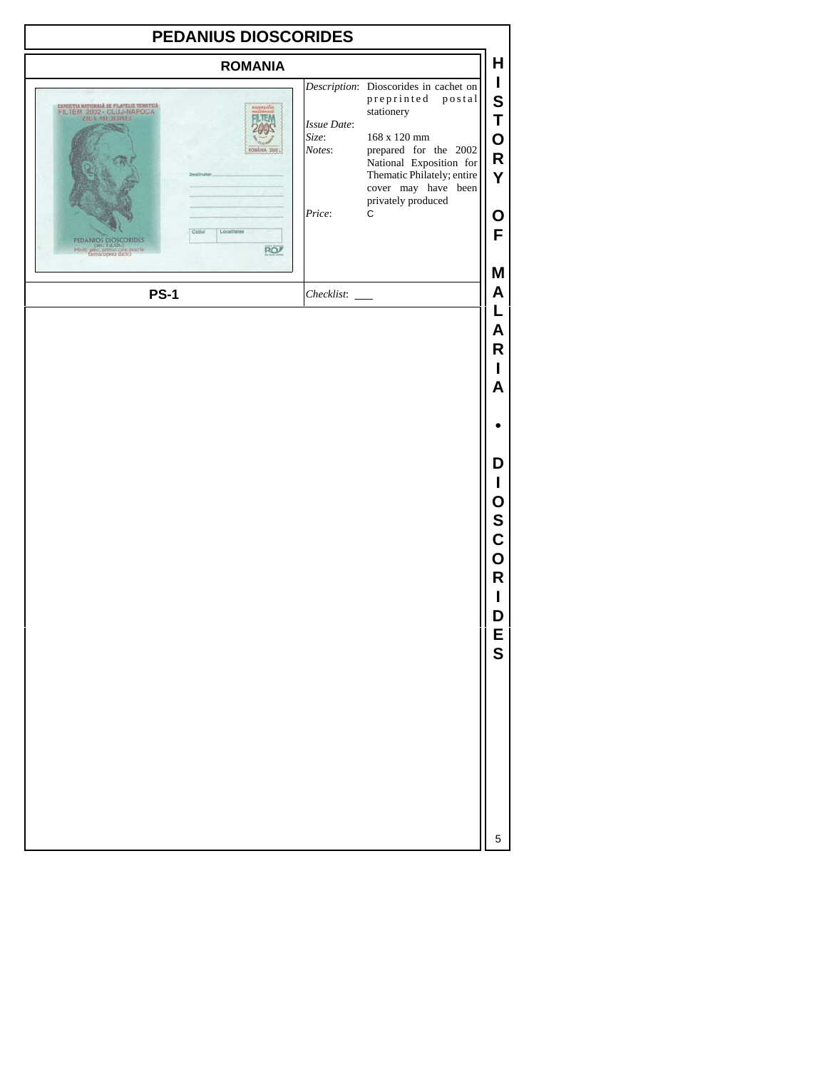| PEDANIUS DIOSCORIDES                                                                                                                                                                                                                                          |                                          |                                                                                                                                                                                                                                 |                                                        |  |  |
|---------------------------------------------------------------------------------------------------------------------------------------------------------------------------------------------------------------------------------------------------------------|------------------------------------------|---------------------------------------------------------------------------------------------------------------------------------------------------------------------------------------------------------------------------------|--------------------------------------------------------|--|--|
| <b>ROMANIA</b>                                                                                                                                                                                                                                                |                                          |                                                                                                                                                                                                                                 | Н                                                      |  |  |
| EXPOSITIA NATIONALĂ DE FILATELE TEMATICĂ<br>FILTEM 2002 - CLUJ-NAPOCA<br>ZIUA MEDIDINEF<br>ROMÂNIA 3008 I<br>Deatleatar<br>Codul<br>Localitatea<br>PEDANIOS DIOSCORIDES<br>(tec. 1 d,Ch.)<br>Medic grec, primul care descrie<br>farmacopea dadca<br><b>RO</b> | Issue Date:<br>Size:<br>Notes:<br>Price: | Description: Dioscorides in cachet on<br>preprinted<br>postal<br>stationery<br>168 x 120 mm<br>prepared for the 2002<br>National Exposition for<br>Thematic Philately; entire<br>cover may have been<br>privately produced<br>C | I<br>${\bf S}$<br>T<br>O<br>$\mathsf R$<br>Y<br>О<br>F |  |  |
| <b>PS-1</b>                                                                                                                                                                                                                                                   | Checklist:                               |                                                                                                                                                                                                                                 | M<br>Α                                                 |  |  |
|                                                                                                                                                                                                                                                               |                                          |                                                                                                                                                                                                                                 | L<br>Α<br>R<br>L<br>A                                  |  |  |
|                                                                                                                                                                                                                                                               |                                          |                                                                                                                                                                                                                                 | D<br>I<br>0<br>S<br>C<br>O<br>R<br>D<br>E<br>S         |  |  |
|                                                                                                                                                                                                                                                               |                                          |                                                                                                                                                                                                                                 | 5                                                      |  |  |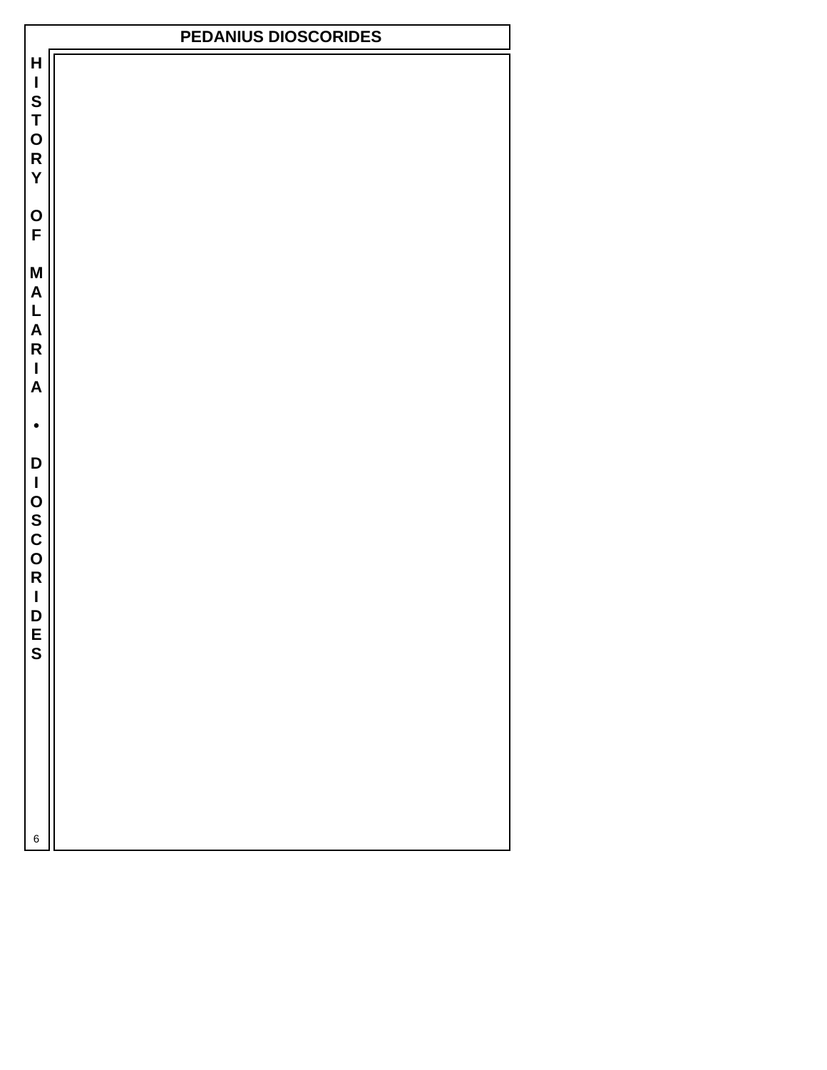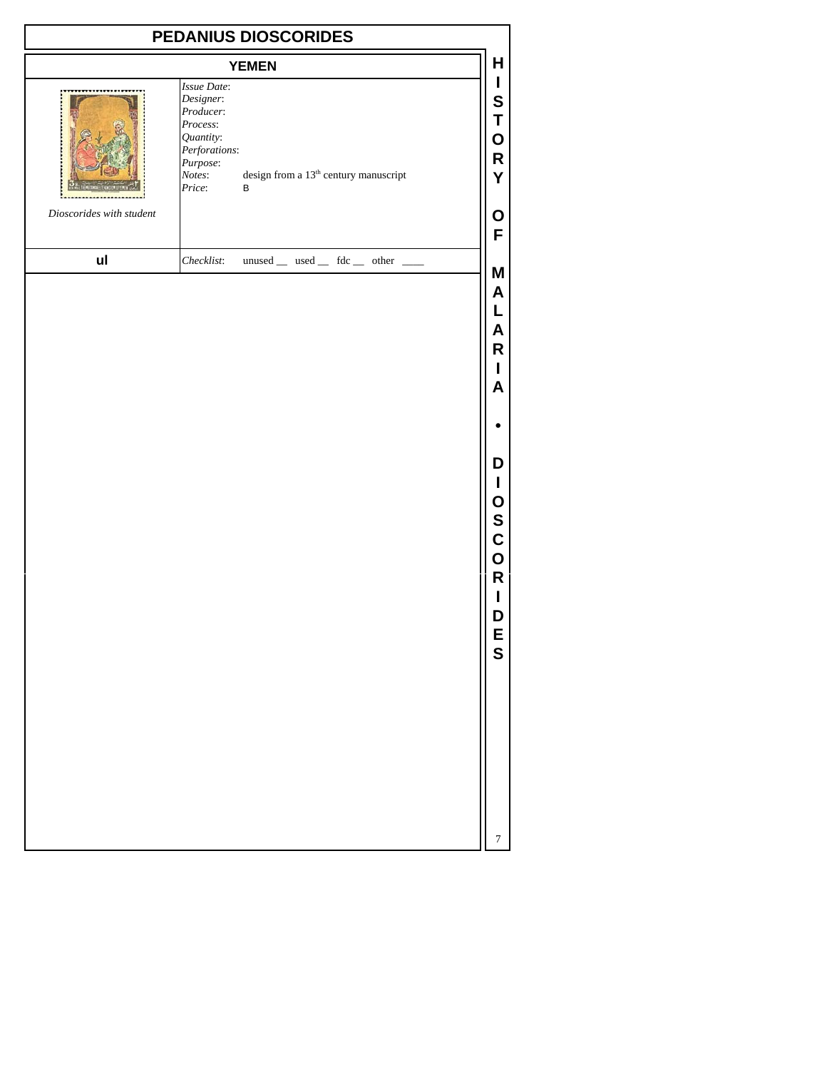| PEDANIUS DIOSCORIDES     |                                                                                                                 |                                                                |                                                                                                                 |  |  |
|--------------------------|-----------------------------------------------------------------------------------------------------------------|----------------------------------------------------------------|-----------------------------------------------------------------------------------------------------------------|--|--|
|                          |                                                                                                                 | <b>YEMEN</b>                                                   | H                                                                                                               |  |  |
|                          | Issue Date:<br>Designer:<br>Producer:<br>Process:<br>Quantity:<br>Perforations:<br>Purpose:<br>Notes:<br>Price: | design from a 13 <sup>th</sup> century manuscript<br>В         | L<br>S<br>Τ<br>O<br>R<br>Υ                                                                                      |  |  |
| Dioscorides with student |                                                                                                                 |                                                                | O<br>F                                                                                                          |  |  |
| ul                       | Checklist:                                                                                                      | $unused$ __ used __ fdc __ other _<br>$\overline{\phantom{a}}$ | M                                                                                                               |  |  |
|                          |                                                                                                                 |                                                                | A<br>L<br>Α<br>R<br>I<br>A<br>D<br>I<br>0<br>S<br>C<br>O<br>$\mathsf R$<br>ı<br>D<br>E<br>S<br>$\boldsymbol{7}$ |  |  |